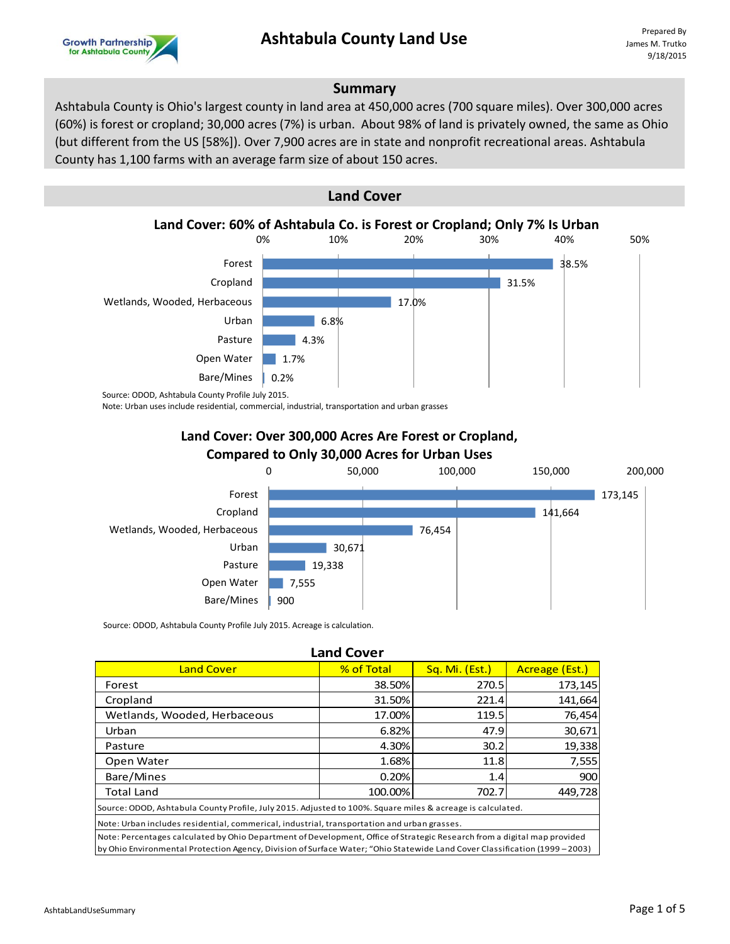# **Ashtabula County Land Use**



#### **Summary**

Ashtabula County is Ohio's largest county in land area at 450,000 acres (700 square miles). Over 300,000 acres (60%) is forest or cropland; 30,000 acres (7%) is urban. About 98% of land is privately owned, the same as Ohio (but different from the US [58%]). Over 7,900 acres are in state and nonprofit recreational areas. Ashtabula County has 1,100 farms with an average farm size of about 150 acres.



Note: Urban uses include residential, commercial, industrial, transportation and urban grasses

#### **Land Cover: Over 300,000 Acres Are Forest or Cropland, Compared to Only 30,000 Acres for Urban Uses**



Source: ODOD, Ashtabula County Profile July 2015. Acreage is calculation.

| <b>Land Cover</b>                                                                                                                                                                                                                                       |            |                |                |
|---------------------------------------------------------------------------------------------------------------------------------------------------------------------------------------------------------------------------------------------------------|------------|----------------|----------------|
| <b>Land Cover</b>                                                                                                                                                                                                                                       | % of Total | Sq. Mi. (Est.) | Acreage (Est.) |
| Forest                                                                                                                                                                                                                                                  | 38.50%     | 270.5          | 173,145        |
| Cropland                                                                                                                                                                                                                                                | 31.50%     | 221.4          | 141,664        |
| Wetlands, Wooded, Herbaceous                                                                                                                                                                                                                            | 17.00%     | 119.5          | 76,454         |
| Urban                                                                                                                                                                                                                                                   | 6.82%      | 47.9           | 30,671         |
| Pasture                                                                                                                                                                                                                                                 | 4.30%      | 30.2           | 19,338         |
| Open Water                                                                                                                                                                                                                                              | 1.68%      | 11.8           | 7,555          |
| Bare/Mines                                                                                                                                                                                                                                              | 0.20%      | 1.4            | 900            |
| <b>Total Land</b>                                                                                                                                                                                                                                       | 100.00%    | 702.7          | 449,728        |
| Source: ODOD, Ashtabula County Profile, July 2015. Adjusted to 100%. Square miles & acreage is calculated.                                                                                                                                              |            |                |                |
| Note: Urban includes residential, commerical, industrial, transportation and urban grasses.                                                                                                                                                             |            |                |                |
| Note: Percentages calculated by Ohio Department of Development, Office of Strategic Research from a digital map provided<br>by Ohio Environmental Protection Agency, Division of Surface Water; "Ohio Statewide Land Cover Classification (1999 - 2003) |            |                |                |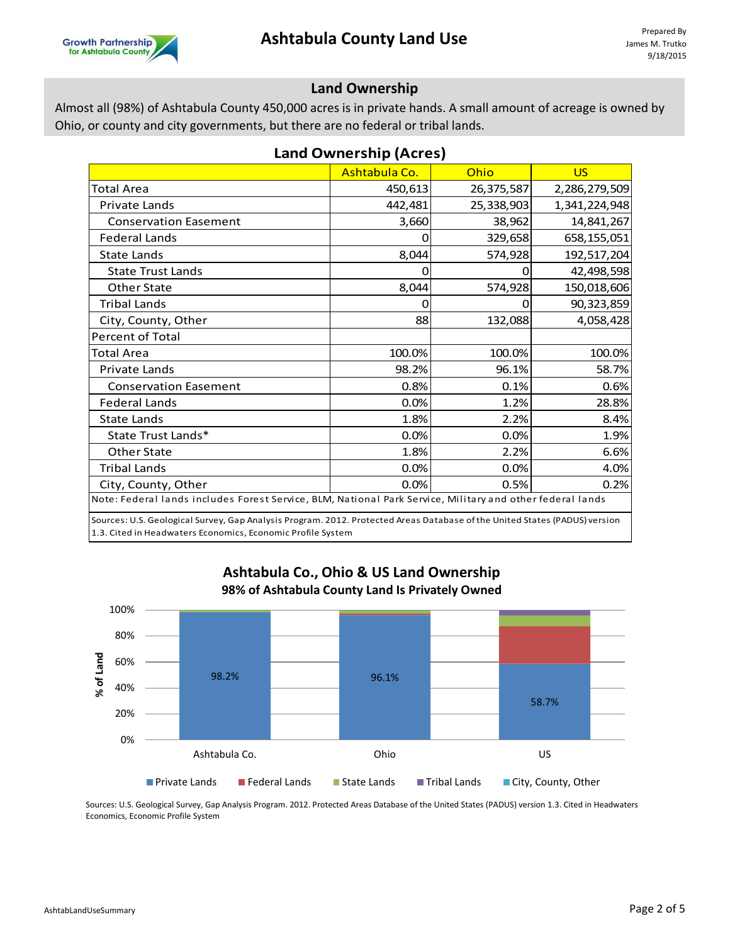#### **Land Ownership**

Almost all (98%) of Ashtabula County 450,000 acres is in private hands. A small amount of acreage is owned by Ohio, or county and city governments, but there are no federal or tribal lands.

| <b>Land Ownership (Acres)</b>                                                                                              |               |            |               |
|----------------------------------------------------------------------------------------------------------------------------|---------------|------------|---------------|
|                                                                                                                            | Ashtabula Co. | Ohio       | <b>US</b>     |
| <b>Total Area</b>                                                                                                          | 450,613       | 26,375,587 | 2,286,279,509 |
| <b>Private Lands</b>                                                                                                       | 442,481       | 25,338,903 | 1,341,224,948 |
| <b>Conservation Easement</b>                                                                                               | 3,660         | 38,962     | 14,841,267    |
| <b>Federal Lands</b>                                                                                                       | 0             | 329,658    | 658,155,051   |
| <b>State Lands</b>                                                                                                         | 8,044         | 574,928    | 192,517,204   |
| <b>State Trust Lands</b>                                                                                                   | 0             |            | 42,498,598    |
| Other State                                                                                                                | 8,044         | 574,928    | 150,018,606   |
| <b>Tribal Lands</b>                                                                                                        | Ω             |            | 90,323,859    |
| City, County, Other                                                                                                        | 88            | 132,088    | 4,058,428     |
| Percent of Total                                                                                                           |               |            |               |
| <b>Total Area</b>                                                                                                          | 100.0%        | 100.0%     | 100.0%        |
| <b>Private Lands</b>                                                                                                       | 98.2%         | 96.1%      | 58.7%         |
| <b>Conservation Easement</b>                                                                                               | 0.8%          | 0.1%       | 0.6%          |
| <b>Federal Lands</b>                                                                                                       | 0.0%          | 1.2%       | 28.8%         |
| <b>State Lands</b>                                                                                                         | 1.8%          | 2.2%       | 8.4%          |
| State Trust Lands*                                                                                                         | 0.0%          | 0.0%       | 1.9%          |
| Other State                                                                                                                | 1.8%          | 2.2%       | 6.6%          |
| <b>Tribal Lands</b>                                                                                                        | 0.0%          | 0.0%       | 4.0%          |
| City, County, Other                                                                                                        | 0.0%          | 0.5%       | 0.2%          |
| Note: Federal lands includes Forest Service, BLM, National Park Service, Military and other federal lands                  |               |            |               |
| Sources: U.S. Geological Survey, Gan Analysis Program, 2012, Protected Areas Database of the United States (PADUS) version |               |            |               |

Sources: U.S. Geological Survey, Gap Analysis Program. 2012. Protected Areas Database of the United States (PADUS) version 1.3. Cited in Headwaters Economics, Economic Profile System



### **Ashtabula Co., Ohio & US Land Ownership 98% of Ashtabula County Land Is Privately Owned**

Sources: U.S. Geological Survey, Gap Analysis Program. 2012. Protected Areas Database of the United States (PADUS) version 1.3. Cited in Headwaters Economics, Economic Profile System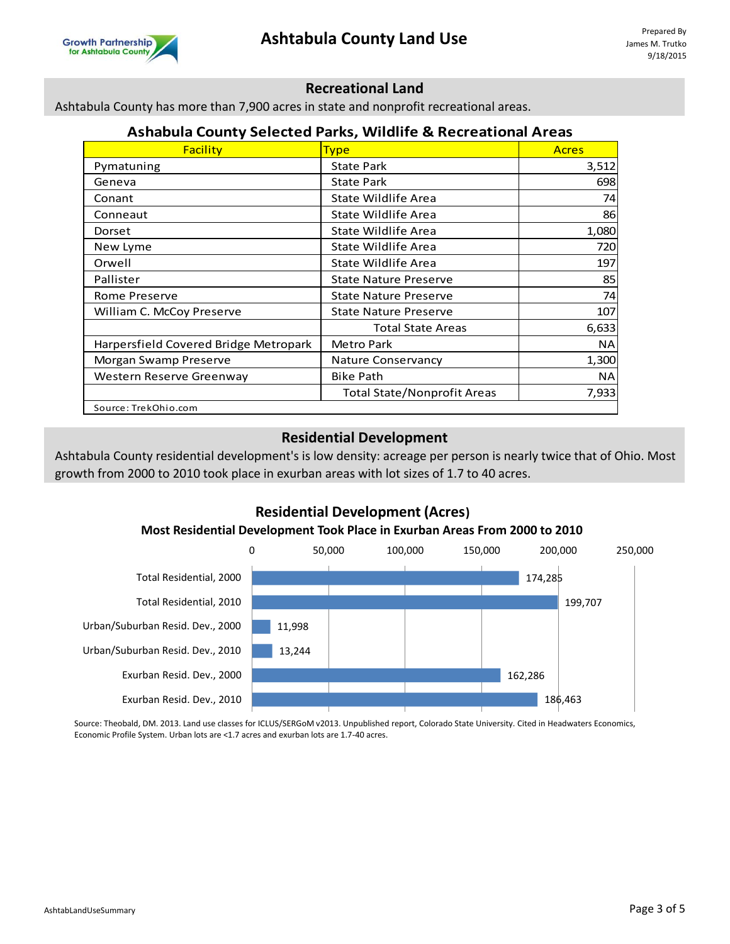

#### **Recreational Land**

Ashtabula County has more than 7,900 acres in state and nonprofit recreational areas.

#### **Ashabula County Selected Parks, Wildlife & Recreational Areas**

| <b>Facility</b>                       | <b>Type</b>                        | <b>Acres</b> |
|---------------------------------------|------------------------------------|--------------|
| Pymatuning                            | <b>State Park</b>                  | 3,512        |
| Geneva                                | State Park                         | 698          |
| Conant                                | State Wildlife Area                | 74           |
| Conneaut                              | State Wildlife Area                | 86           |
| Dorset                                | State Wildlife Area                | 1,080        |
| New Lyme                              | State Wildlife Area                | 720          |
| Orwell                                | State Wildlife Area                | 197          |
| Pallister                             | <b>State Nature Preserve</b>       | 85           |
| Rome Preserve                         | <b>State Nature Preserve</b>       | 74           |
| William C. McCoy Preserve             | <b>State Nature Preserve</b>       | 107          |
|                                       | <b>Total State Areas</b>           | 6,633        |
| Harpersfield Covered Bridge Metropark | Metro Park                         | <b>NA</b>    |
| Morgan Swamp Preserve                 | <b>Nature Conservancy</b>          | 1,300        |
| Western Reserve Greenway              | <b>Bike Path</b>                   | <b>NA</b>    |
|                                       | <b>Total State/Nonprofit Areas</b> | 7,933        |
| Source: TrekOhio.com                  |                                    |              |

#### **Residential Development**

Ashtabula County residential development's is low density: acreage per person is nearly twice that of Ohio. Most growth from 2000 to 2010 took place in exurban areas with lot sizes of 1.7 to 40 acres.

# **Residential Development (Acres)**

#### **Most Residential Development Took Place in Exurban Areas From 2000 to 2010**



Source: Theobald, DM. 2013. Land use classes for ICLUS/SERGoM v2013. Unpublished report, Colorado State University. Cited in Headwaters Economics, Economic Profile System. Urban lots are <1.7 acres and exurban lots are 1.7-40 acres.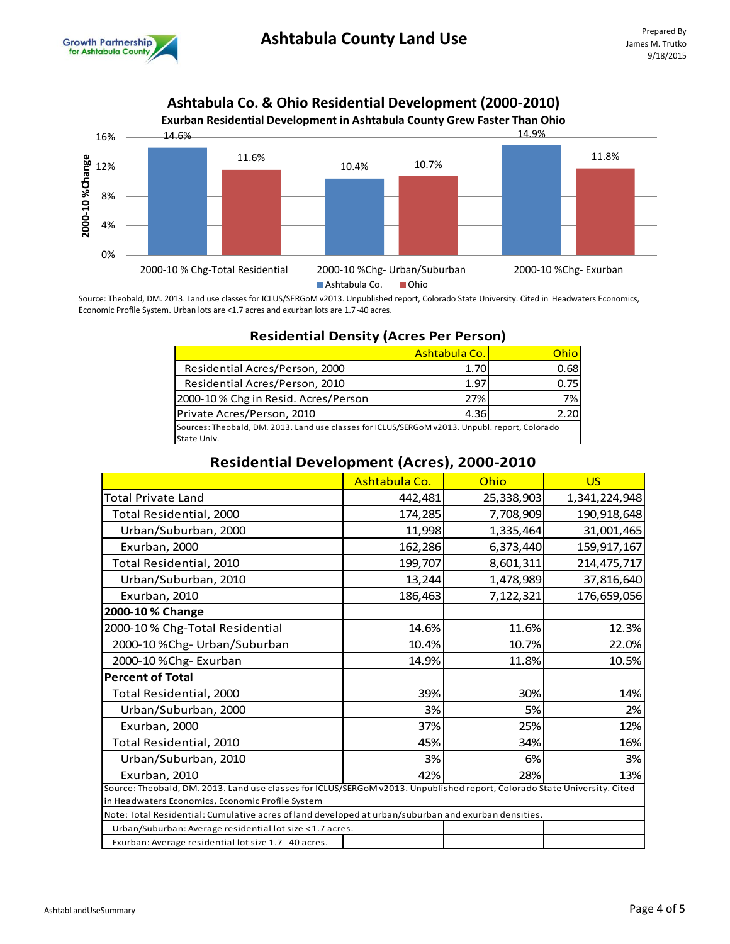



Source: Theobald, DM. 2013. Land use classes for ICLUS/SERGoM v2013. Unpublished report, Colorado State University. Cited in Headwaters Economics, Economic Profile System. Urban lots are <1.7 acres and exurban lots are 1.7-40 acres.

|                                                                                                | Ashtabula Co. | Ohio |  |
|------------------------------------------------------------------------------------------------|---------------|------|--|
| Residential Acres/Person, 2000                                                                 | 1.70          | 0.68 |  |
| Residential Acres/Person, 2010                                                                 | 1.97          | 0.75 |  |
| 2000-10% Chg in Resid. Acres/Person                                                            | 27%           | 7%   |  |
| Private Acres/Person, 2010                                                                     | 4.36          | 2.20 |  |
| Sources: Theobald, DM. 2013. Land use classes for ICLUS/SERGoM v2013. Unpubl. report, Colorado |               |      |  |
| State Univ.                                                                                    |               |      |  |

## **Residential Density (Acres Per Person)**

| <b>Residential Development (Acres), 2000-2010</b>                                                                                                                             |               |            |               |
|-------------------------------------------------------------------------------------------------------------------------------------------------------------------------------|---------------|------------|---------------|
|                                                                                                                                                                               | Ashtabula Co. | Ohio       | <b>US</b>     |
| Total Private Land                                                                                                                                                            | 442,481       | 25,338,903 | 1,341,224,948 |
| Total Residential, 2000                                                                                                                                                       | 174,285       | 7,708,909  | 190,918,648   |
| Urban/Suburban, 2000                                                                                                                                                          | 11,998        | 1,335,464  | 31,001,465    |
| Exurban, 2000                                                                                                                                                                 | 162,286       | 6,373,440  | 159,917,167   |
| Total Residential, 2010                                                                                                                                                       | 199,707       | 8,601,311  | 214,475,717   |
| Urban/Suburban, 2010                                                                                                                                                          | 13,244        | 1,478,989  | 37,816,640    |
| Exurban, 2010                                                                                                                                                                 | 186,463       | 7,122,321  | 176,659,056   |
| 2000-10 % Change                                                                                                                                                              |               |            |               |
| 2000-10% Chg-Total Residential                                                                                                                                                | 14.6%         | 11.6%      | 12.3%         |
| 2000-10 %Chg- Urban/Suburban                                                                                                                                                  | 10.4%         | 10.7%      | 22.0%         |
| 2000-10 % Chg-Exurban                                                                                                                                                         | 14.9%         | 11.8%      | 10.5%         |
| <b>Percent of Total</b>                                                                                                                                                       |               |            |               |
| Total Residential, 2000                                                                                                                                                       | 39%           | 30%        | 14%           |
| Urban/Suburban, 2000                                                                                                                                                          | 3%            | 5%         | 2%            |
| Exurban, 2000                                                                                                                                                                 | 37%           | 25%        | 12%           |
| Total Residential, 2010                                                                                                                                                       | 45%           | 34%        | 16%           |
| Urban/Suburban, 2010                                                                                                                                                          | 3%            | 6%         | 3%            |
| Exurban, 2010                                                                                                                                                                 | 42%           | 28%        | 13%           |
| Source: Theobald, DM. 2013. Land use classes for ICLUS/SERGoM v2013. Unpublished report, Colorado State University. Cited<br>in Headwaters Economics, Economic Profile System |               |            |               |
| Note: Total Residential: Cumulative acres of land developed at urban/suburban and exurban densities.                                                                          |               |            |               |
| Urban/Suburban: Average residential lot size < 1.7 acres.                                                                                                                     |               |            |               |
| Exurban: Average residential lot size 1.7 - 40 acres.                                                                                                                         |               |            |               |